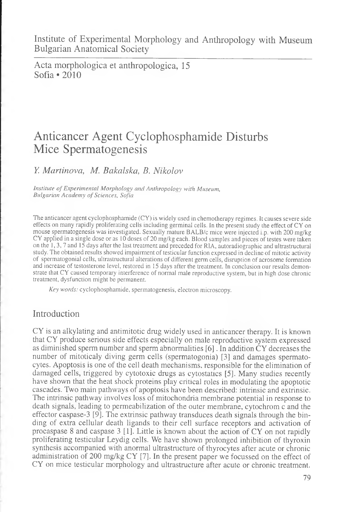Institute of Experimental Morphology and Anthropology with Museum Bulgarian Anatomical Society

Acta morphologica et anthropologica, 15 Sofia • 2010

# Anticancer Agent Cyclophosphamide Disturbs Mice Spermatogenesis

*Y. Martinova, M. Bakalska, B. Nikolov*

*Institute of Experimental Morphology and Anthropology with Museum, Bulgarian Academy of Sciences, Sofia* 

The anticancer agent cyclophosphamide (CY) is widely used in chemotherapy regimes. It causes severe side effects on many rapidly proliferating cells including germinal cells. In the present study the effect of CY on mouse spermatogenesis was investigated. Sexually mature BALB/c mice were injected i.p. with 200 mg/kg CY applied in a single dose or as 10 doses of 20 mg/kg each. Blood samples and pieces of testes were taken on the 1,3,7 and 15 days after the last treatment and preceded for RIA, autoradiographic and ultrastructural study. The obtained results showed impairment of testicular function expressed in decline of mitotic activity of spermatogonial cells, ultrastructural alterations of different germ cells, disruption of acrosome formation and increase of testosterone level, restored in 15 days after the treatment. In conclusion our results demonstrate that CY caused temporary interference of normal male reproductive system, but in high dose chronic treatment, dysfunction might be permanent.

Key words: cyclophosphamide, spermatogenesis, electron microscopy.

### Introduction

CY is an alkylating and antimitotic drug widely used in anticancer therapy. It is known that CY produce serious side effects especially on male reproductive system expressed as diminished sperm number and sperm abnormalities [6]. In addition CY decreases the number of mitoticaly diving germ cells (spermatogonia) [3] and damages spermatocytes. Apoptosis is one of the cell death mechanisms, responsible for the elimination of damaged cells, triggered by cytotoxic drugs as cytostatics [5]. Many studies recently have shown that the heat shock proteins play critical roles in modulating the apoptotic cascades. Two main pathways of apoptosis have been described: intrinsic and extrinsic. The intrinsic pathway involves loss of mitochondria membrane potential in response to death signals, leading to permeabilization of the outer membrane, cytochrom c and the effector caspase-3 [9]. The extrinsic pathway transduces death signals through the binding of extra cellular death ligands to their cell surface receptors and activation of procaspase 8 and caspase 3 [1]. Little is known about the action of CY on not rapidly proliferating testicular Leydig cells. We have shown prolonged inhibition of thyroxin synthesis accompanied with anormal ultrastructure of thyrocytes after acute or chronic administration of 200 mg/kg CY [7]. In the present paper we focussed on the effect of CY on mice testicular morphology and ultrastructure after acute or chronic treatment.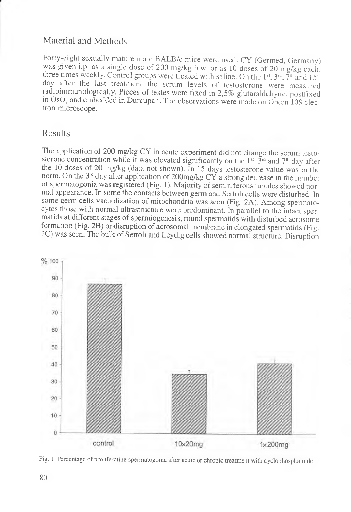# Material and Methods

Forty-eight sexually mature male BALB/c mice were used. CY (Germed, Germany) was given i.p. as a single dose of 200 mg/kg b.w. or as 10 doses of 20 mg/kg each, three times weekly. Control groups were treated with saline. On the 1st, 3rd,  $\tilde{7}^{\text{th}}$  and 15<sup>th</sup> day after the last treatment the serum levels of testosterone were measured radioimmunologically. Pieces of testes were fixed in 2,5% glutaraldehyde, postfixed in OsO, and embedded in Durcupan. The observations were made on Opton 109 electron microscope.

## Results

The application of 200 mg/kg CY in acute experiment did not change the serum testosterone concentration while it was elevated significantly on the 1<sup>st</sup>,  $\bar{3}$ <sup>rd</sup> and 7<sup>th</sup> day after the 10 doses of 20 mg/kg (data not shown). In 15 days testosterone value was in the norm. On the 3<sup>d</sup> day after application of 200mg/kg CY a strong decrease in the number of spermatogonia was registered (Fig. 1). Majority of seminiferous tubules showed normal appearance. In some the contacts between germ and Sertoli cells were disturbed. In some germ cells vacuolization of mitochondria was seen (Fig. 2A). Among spermatocytes those with normal ultrastructure were predominant. In parallel to the intact spermatids at different stages of spermiogenesis, round spermatids with disturbed acrosome formation (Fig. 2B) or disruption of acrosomal membrane in elongated spermatids (Fig. 2C) was seen. The bulk of Sertoli and Leydig cells showed normal structure. Disruption



Fig. 1. Percentage of proliferating spermatogonia after acute or chronic treatment with cyclophosphamide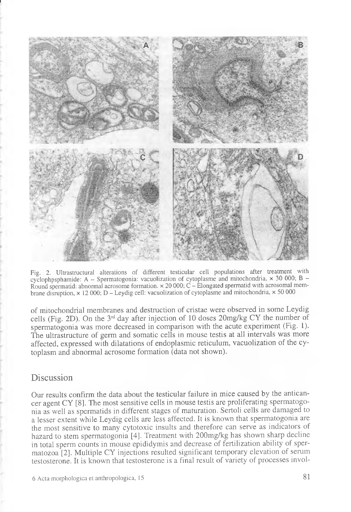

Fig. 2. Ultrastructural alterations of different testicular cell populations after treatment with cyclophpsphamide: A - Spermatogonia: vacuolization of cytoplasme and mitochondria,  $\times$  30 000; B -Round spermatid: abnormal acrosome formation,  $\times$  20 000; C – Elongated spermatid with acrosomal membrane disruption,  $\times$  12 000; D – Leydig cell: vacuolization of cytoplasme and mitochondria,  $\times$  50 000

of mitochondrial membranes and destruction of cristae were observed in some Leydig cells (Fig. 2D). On the 3rd day after injection of 10 doses 20mg/kg CY the number of spermatogonia was more decreased in comparison with the acute experiment (Fig. 1). The ultrastructure of germ and somatic cells in mouse testis at all intervals was more affected, expressed with dilatations of endoplasmic reticulum, vacuolization of the cytoplasm and abnormal acrosome formation (data not shown).

#### Discussion

1

Our results confirm the data about the testicular failure in mice caused by the anticancer agent CY [8]. The most sensitive cells in mouse testis are proliferating spermatogonia as well as spermatids in different stages of maturation. Sertoli cells are damaged to a lesser extent while Leydig cells are less affected. It is known that spermatogonia are the most sensitive to many cytotoxic insults and therefore can serve as indicators of hazard to stem spermatogonia [4]. Treatment with 200mg/kg has shown sharp decline in total sperm counts in mouse epididymis and decrease of fertilization ability of spermatozoa [2]. Multiple CY injections resulted significant temporary elevation of serum testosterone. It is known that testosterone is a final result of variety of processes invol-